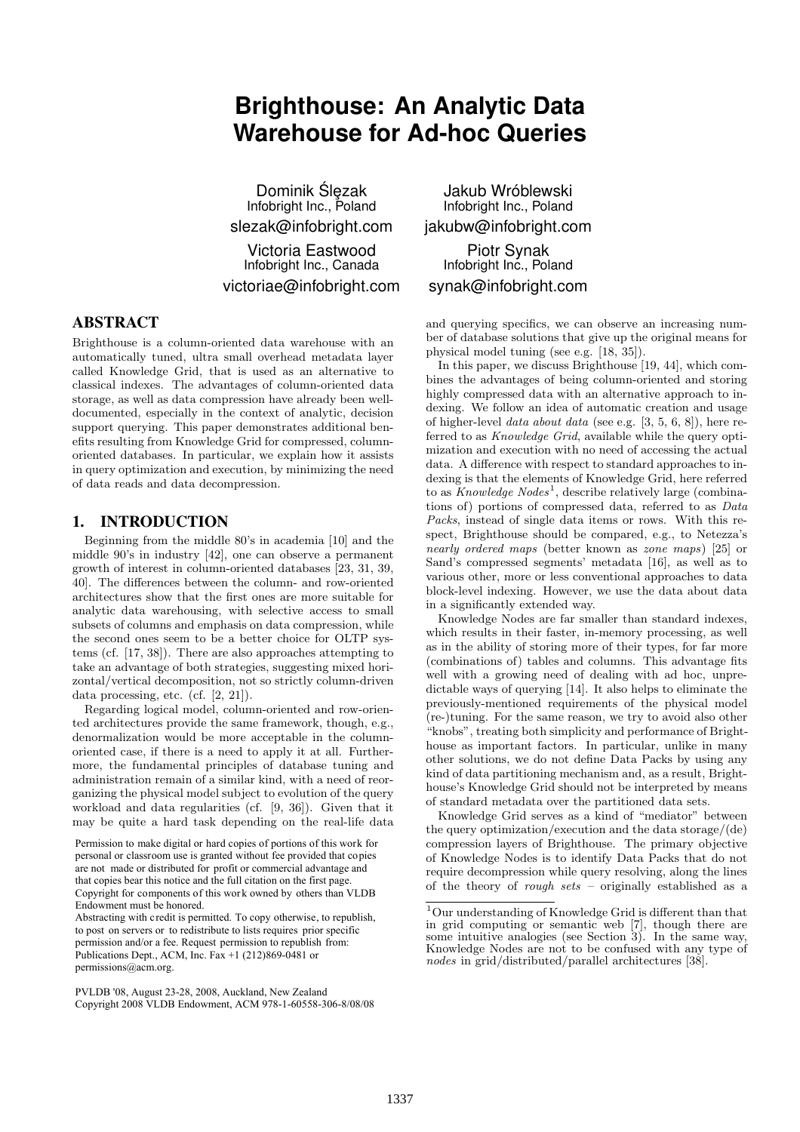# **Brighthouse: An Analytic Data Warehouse for Ad-hoc Queries**

Dominik Ślęzak Infobright Inc., Poland slezak@infobright.com

Victoria Eastwood Infobright Inc., Canada victoriae@infobright.com

# ABSTRACT

Brighthouse is a column-oriented data warehouse with an automatically tuned, ultra small overhead metadata layer called Knowledge Grid, that is used as an alternative to classical indexes. The advantages of column-oriented data storage, as well as data compression have already been welldocumented, especially in the context of analytic, decision support querying. This paper demonstrates additional benefits resulting from Knowledge Grid for compressed, columnoriented databases. In particular, we explain how it assists in query optimization and execution, by minimizing the need of data reads and data decompression.

# 1. INTRODUCTION

Beginning from the middle 80's in academia [10] and the middle 90's in industry [42], one can observe a permanent growth of interest in column-oriented databases [23, 31, 39, 40]. The differences between the column- and row-oriented architectures show that the first ones are more suitable for analytic data warehousing, with selective access to small subsets of columns and emphasis on data compression, while the second ones seem to be a better choice for OLTP systems (cf. [17, 38]). There are also approaches attempting to take an advantage of both strategies, suggesting mixed horizontal/vertical decomposition, not so strictly column-driven data processing, etc. (cf. [2, 21]).

Regarding logical model, column-oriented and row-oriented architectures provide the same framework, though, e.g., denormalization would be more acceptable in the columnoriented case, if there is a need to apply it at all. Furthermore, the fundamental principles of database tuning and administration remain of a similar kind, with a need of reorganizing the physical model subject to evolution of the query workload and data regularities (cf. [9, 36]). Given that it may be quite a hard task depending on the real-life data

Jakub Wróblewski Infobright Inc., Poland jakubw@infobright.com Piotr Synak Infobright Inc., Poland synak@infobright.com

and querying specifics, we can observe an increasing number of database solutions that give up the original means for physical model tuning (see e.g. [18, 35]).

In this paper, we discuss Brighthouse [19, 44], which combines the advantages of being column-oriented and storing highly compressed data with an alternative approach to indexing. We follow an idea of automatic creation and usage of higher-level *data about data* (see e.g.  $[3, 5, 6, 8]$ ), here referred to as *Knowledge Grid*, available while the query optimization and execution with no need of accessing the actual data. A difference with respect to standard approaches to indexing is that the elements of Knowledge Grid, here referred to as  $Knowledge\ Nodes<sup>1</sup>$ , describe relatively large (combinations of) portions of compressed data, referred to as Data Packs, instead of single data items or rows. With this respect, Brighthouse should be compared, e.g., to Netezza's nearly ordered maps (better known as zone maps) [25] or Sand's compressed segments' metadata [16], as well as to various other, more or less conventional approaches to data block-level indexing. However, we use the data about data in a significantly extended way.

Knowledge Nodes are far smaller than standard indexes, which results in their faster, in-memory processing, as well as in the ability of storing more of their types, for far more (combinations of) tables and columns. This advantage fits well with a growing need of dealing with ad hoc, unpredictable ways of querying [14]. It also helps to eliminate the previously-mentioned requirements of the physical model (re-)tuning. For the same reason, we try to avoid also other "knobs", treating both simplicity and performance of Brighthouse as important factors. In particular, unlike in many other solutions, we do not define Data Packs by using any kind of data partitioning mechanism and, as a result, Brighthouse's Knowledge Grid should not be interpreted by means of standard metadata over the partitioned data sets.

Knowledge Grid serves as a kind of "mediator" between the query optimization/execution and the data storage/(de) compression layers of Brighthouse. The primary objective of Knowledge Nodes is to identify Data Packs that do not require decompression while query resolving, along the lines of the theory of *rough sets* – originally established as a

are not made or distributed for profit or commercial advantage and that copies bear this notice and the full citation on the first page. Copyright for components of this work owned by others than VLDB Endowment must be honored. Permission to make digital or hard copies of portions of this work for personal or classroom use is granted without fee provided that copies

Abstracting with credit is permitted. To copy otherwise, to republish, to post on servers or to redistribute to lists requires prior specific permission and/or a fee. Request permission to republish from: Publications Dept., ACM, Inc. Fax  $+1$  (212)869-0481 or  $permissions@acm.org.$ 

PVLDB '08, August 23-28, 2008, Auckland, New Zealand Copyright 2008 VLDB Endowment, ACM 978-1-60558-306-8/08/08

 $^1\rm{Our}$  understanding of Knowledge Grid is different than that in grid computing or semantic web [7], though there are some intuitive analogies (see Section 3). In the same way, Knowledge Nodes are not to be confused with any type of nodes in grid/distributed/parallel architectures [38].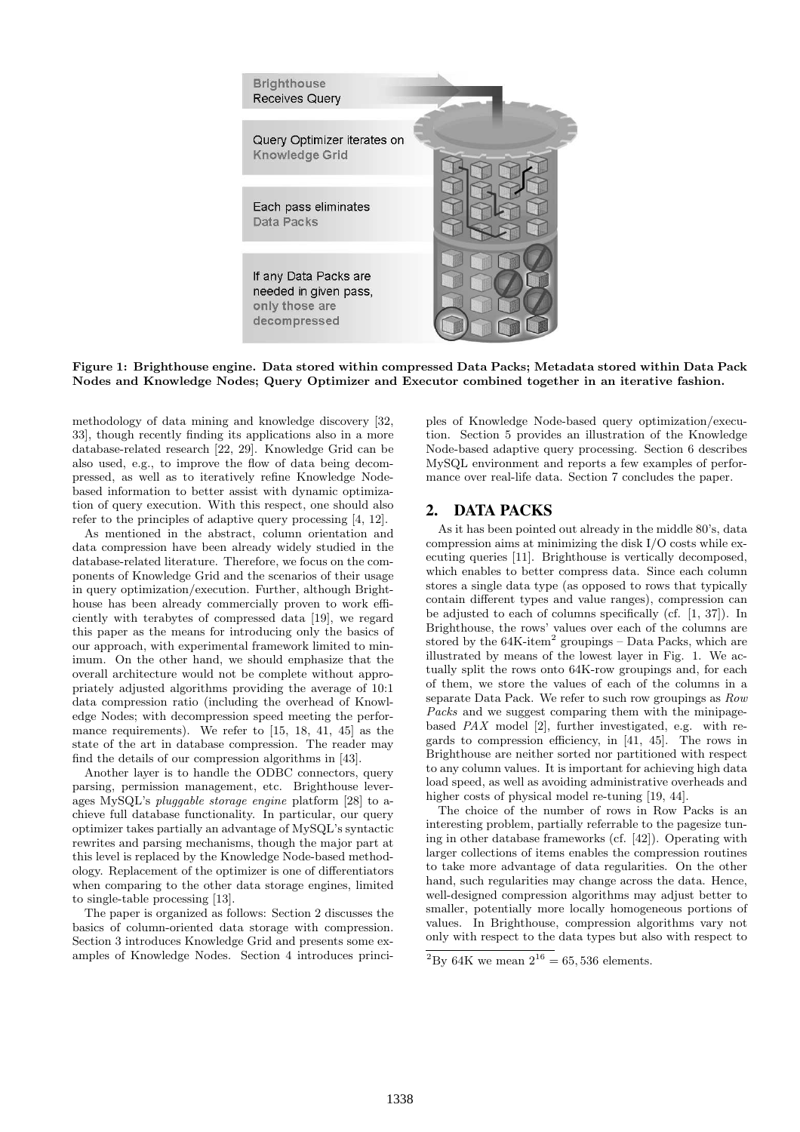

Figure 1: Brighthouse engine. Data stored within compressed Data Packs; Metadata stored within Data Pack Nodes and Knowledge Nodes; Query Optimizer and Executor combined together in an iterative fashion.

methodology of data mining and knowledge discovery [32, 33], though recently finding its applications also in a more database-related research [22, 29]. Knowledge Grid can be also used, e.g., to improve the flow of data being decompressed, as well as to iteratively refine Knowledge Nodebased information to better assist with dynamic optimization of query execution. With this respect, one should also refer to the principles of adaptive query processing [4, 12].

As mentioned in the abstract, column orientation and data compression have been already widely studied in the database-related literature. Therefore, we focus on the components of Knowledge Grid and the scenarios of their usage in query optimization/execution. Further, although Brighthouse has been already commercially proven to work efficiently with terabytes of compressed data [19], we regard this paper as the means for introducing only the basics of our approach, with experimental framework limited to minimum. On the other hand, we should emphasize that the overall architecture would not be complete without appropriately adjusted algorithms providing the average of 10:1 data compression ratio (including the overhead of Knowledge Nodes; with decompression speed meeting the performance requirements). We refer to [15, 18, 41, 45] as the state of the art in database compression. The reader may find the details of our compression algorithms in [43].

Another layer is to handle the ODBC connectors, query parsing, permission management, etc. Brighthouse leverages MySQL's pluggable storage engine platform [28] to achieve full database functionality. In particular, our query optimizer takes partially an advantage of MySQL's syntactic rewrites and parsing mechanisms, though the major part at this level is replaced by the Knowledge Node-based methodology. Replacement of the optimizer is one of differentiators when comparing to the other data storage engines, limited to single-table processing [13].

The paper is organized as follows: Section 2 discusses the basics of column-oriented data storage with compression. Section 3 introduces Knowledge Grid and presents some examples of Knowledge Nodes. Section 4 introduces principles of Knowledge Node-based query optimization/execution. Section 5 provides an illustration of the Knowledge Node-based adaptive query processing. Section 6 describes MySQL environment and reports a few examples of performance over real-life data. Section 7 concludes the paper.

# 2. DATA PACKS

As it has been pointed out already in the middle 80's, data compression aims at minimizing the disk I/O costs while executing queries [11]. Brighthouse is vertically decomposed, which enables to better compress data. Since each column stores a single data type (as opposed to rows that typically contain different types and value ranges), compression can be adjusted to each of columns specifically (cf. [1, 37]). In Brighthouse, the rows' values over each of the columns are stored by the  $64K$ -item<sup>2</sup> groupings – Data Packs, which are illustrated by means of the lowest layer in Fig. 1. We actually split the rows onto 64K-row groupings and, for each of them, we store the values of each of the columns in a separate Data Pack. We refer to such row groupings as Row Packs and we suggest comparing them with the minipagebased PAX model [2], further investigated, e.g. with regards to compression efficiency, in [41, 45]. The rows in Brighthouse are neither sorted nor partitioned with respect to any column values. It is important for achieving high data load speed, as well as avoiding administrative overheads and higher costs of physical model re-tuning [19, 44].

The choice of the number of rows in Row Packs is an interesting problem, partially referrable to the pagesize tuning in other database frameworks (cf. [42]). Operating with larger collections of items enables the compression routines to take more advantage of data regularities. On the other hand, such regularities may change across the data. Hence, well-designed compression algorithms may adjust better to smaller, potentially more locally homogeneous portions of values. In Brighthouse, compression algorithms vary not only with respect to the data types but also with respect to

<sup>&</sup>lt;sup>2</sup>By 64K we mean  $2^{16} = 65,536$  elements.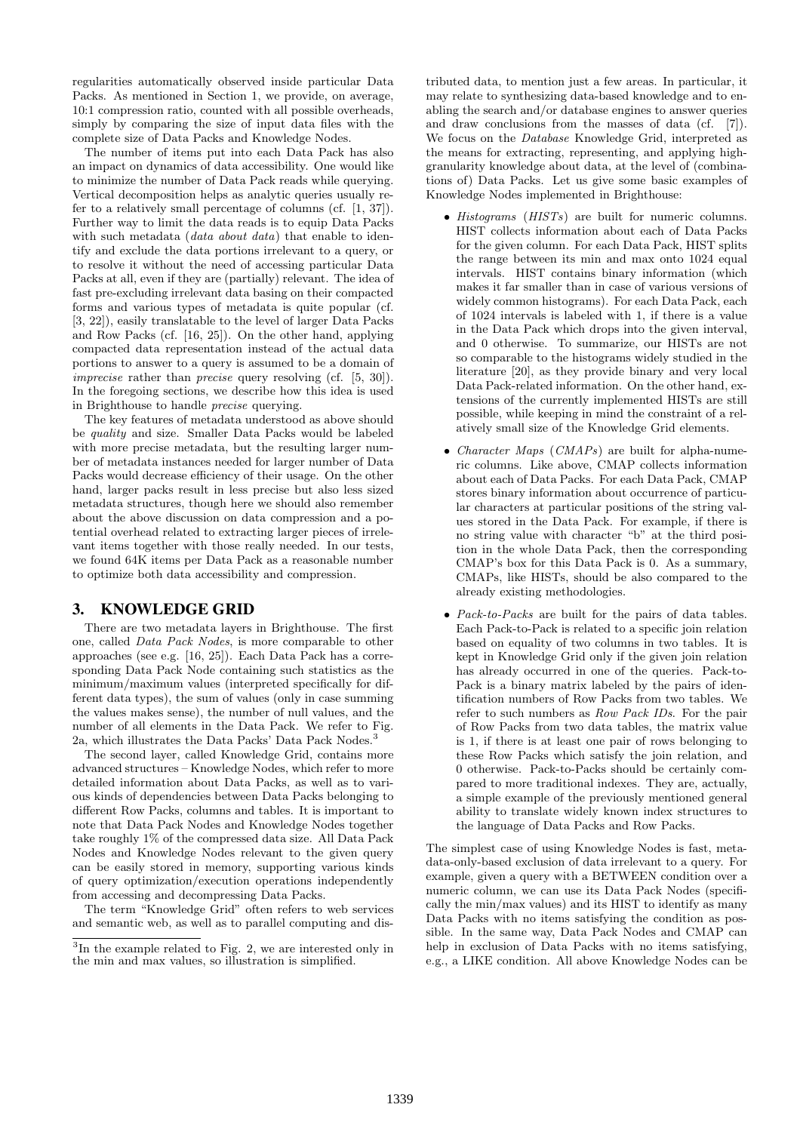regularities automatically observed inside particular Data Packs. As mentioned in Section 1, we provide, on average, 10:1 compression ratio, counted with all possible overheads, simply by comparing the size of input data files with the complete size of Data Packs and Knowledge Nodes.

The number of items put into each Data Pack has also an impact on dynamics of data accessibility. One would like to minimize the number of Data Pack reads while querying. Vertical decomposition helps as analytic queries usually refer to a relatively small percentage of columns (cf. [1, 37]). Further way to limit the data reads is to equip Data Packs with such metadata (*data about data*) that enable to identify and exclude the data portions irrelevant to a query, or to resolve it without the need of accessing particular Data Packs at all, even if they are (partially) relevant. The idea of fast pre-excluding irrelevant data basing on their compacted forms and various types of metadata is quite popular (cf. [3, 22]), easily translatable to the level of larger Data Packs and Row Packs (cf. [16, 25]). On the other hand, applying compacted data representation instead of the actual data portions to answer to a query is assumed to be a domain of *imprecise* rather than *precise* query resolving (cf. [5, 30]). In the foregoing sections, we describe how this idea is used in Brighthouse to handle precise querying.

The key features of metadata understood as above should be quality and size. Smaller Data Packs would be labeled with more precise metadata, but the resulting larger number of metadata instances needed for larger number of Data Packs would decrease efficiency of their usage. On the other hand, larger packs result in less precise but also less sized metadata structures, though here we should also remember about the above discussion on data compression and a potential overhead related to extracting larger pieces of irrelevant items together with those really needed. In our tests, we found 64K items per Data Pack as a reasonable number to optimize both data accessibility and compression.

# 3. KNOWLEDGE GRID

There are two metadata layers in Brighthouse. The first one, called Data Pack Nodes, is more comparable to other approaches (see e.g. [16, 25]). Each Data Pack has a corresponding Data Pack Node containing such statistics as the minimum/maximum values (interpreted specifically for different data types), the sum of values (only in case summing the values makes sense), the number of null values, and the number of all elements in the Data Pack. We refer to Fig. 2a, which illustrates the Data Packs' Data Pack Nodes.<sup>3</sup>

The second layer, called Knowledge Grid, contains more advanced structures – Knowledge Nodes, which refer to more detailed information about Data Packs, as well as to various kinds of dependencies between Data Packs belonging to different Row Packs, columns and tables. It is important to note that Data Pack Nodes and Knowledge Nodes together take roughly 1% of the compressed data size. All Data Pack Nodes and Knowledge Nodes relevant to the given query can be easily stored in memory, supporting various kinds of query optimization/execution operations independently from accessing and decompressing Data Packs.

The term "Knowledge Grid" often refers to web services and semantic web, as well as to parallel computing and dis-

tributed data, to mention just a few areas. In particular, it may relate to synthesizing data-based knowledge and to enabling the search and/or database engines to answer queries and draw conclusions from the masses of data (cf. [7]). We focus on the Database Knowledge Grid, interpreted as the means for extracting, representing, and applying highgranularity knowledge about data, at the level of (combinations of) Data Packs. Let us give some basic examples of Knowledge Nodes implemented in Brighthouse:

- Histograms (HISTs) are built for numeric columns. HIST collects information about each of Data Packs for the given column. For each Data Pack, HIST splits the range between its min and max onto 1024 equal intervals. HIST contains binary information (which makes it far smaller than in case of various versions of widely common histograms). For each Data Pack, each of 1024 intervals is labeled with 1, if there is a value in the Data Pack which drops into the given interval, and 0 otherwise. To summarize, our HISTs are not so comparable to the histograms widely studied in the literature [20], as they provide binary and very local Data Pack-related information. On the other hand, extensions of the currently implemented HISTs are still possible, while keeping in mind the constraint of a relatively small size of the Knowledge Grid elements.
- *Character Maps (CMAPs)* are built for alpha-numeric columns. Like above, CMAP collects information about each of Data Packs. For each Data Pack, CMAP stores binary information about occurrence of particular characters at particular positions of the string values stored in the Data Pack. For example, if there is no string value with character "b" at the third position in the whole Data Pack, then the corresponding CMAP's box for this Data Pack is 0. As a summary, CMAPs, like HISTs, should be also compared to the already existing methodologies.
- Pack-to-Packs are built for the pairs of data tables. Each Pack-to-Pack is related to a specific join relation based on equality of two columns in two tables. It is kept in Knowledge Grid only if the given join relation has already occurred in one of the queries. Pack-to-Pack is a binary matrix labeled by the pairs of identification numbers of Row Packs from two tables. We refer to such numbers as Row Pack IDs. For the pair of Row Packs from two data tables, the matrix value is 1, if there is at least one pair of rows belonging to these Row Packs which satisfy the join relation, and 0 otherwise. Pack-to-Packs should be certainly compared to more traditional indexes. They are, actually, a simple example of the previously mentioned general ability to translate widely known index structures to the language of Data Packs and Row Packs.

The simplest case of using Knowledge Nodes is fast, metadata-only-based exclusion of data irrelevant to a query. For example, given a query with a BETWEEN condition over a numeric column, we can use its Data Pack Nodes (specifically the min/max values) and its HIST to identify as many Data Packs with no items satisfying the condition as possible. In the same way, Data Pack Nodes and CMAP can help in exclusion of Data Packs with no items satisfying, e.g., a LIKE condition. All above Knowledge Nodes can be

<sup>&</sup>lt;sup>3</sup>In the example related to Fig. 2, we are interested only in the min and max values, so illustration is simplified.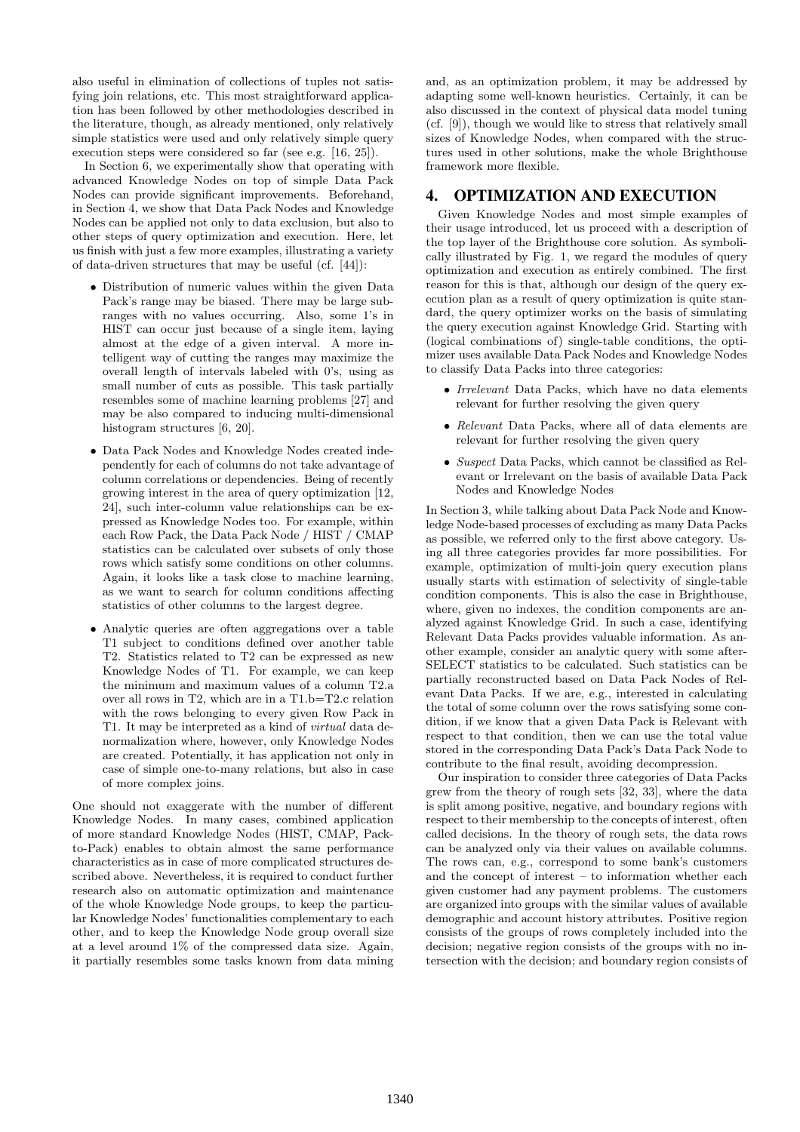also useful in elimination of collections of tuples not satisfying join relations, etc. This most straightforward application has been followed by other methodologies described in the literature, though, as already mentioned, only relatively simple statistics were used and only relatively simple query execution steps were considered so far (see e.g. [16, 25]).

In Section 6, we experimentally show that operating with advanced Knowledge Nodes on top of simple Data Pack Nodes can provide significant improvements. Beforehand, in Section 4, we show that Data Pack Nodes and Knowledge Nodes can be applied not only to data exclusion, but also to other steps of query optimization and execution. Here, let us finish with just a few more examples, illustrating a variety of data-driven structures that may be useful (cf. [44]):

- Distribution of numeric values within the given Data Pack's range may be biased. There may be large subranges with no values occurring. Also, some 1's in HIST can occur just because of a single item, laying almost at the edge of a given interval. A more intelligent way of cutting the ranges may maximize the overall length of intervals labeled with 0's, using as small number of cuts as possible. This task partially resembles some of machine learning problems [27] and may be also compared to inducing multi-dimensional histogram structures [6, 20].
- Data Pack Nodes and Knowledge Nodes created independently for each of columns do not take advantage of column correlations or dependencies. Being of recently growing interest in the area of query optimization [12, 24], such inter-column value relationships can be expressed as Knowledge Nodes too. For example, within each Row Pack, the Data Pack Node / HIST / CMAP statistics can be calculated over subsets of only those rows which satisfy some conditions on other columns. Again, it looks like a task close to machine learning, as we want to search for column conditions affecting statistics of other columns to the largest degree.
- Analytic queries are often aggregations over a table T1 subject to conditions defined over another table T2. Statistics related to T2 can be expressed as new Knowledge Nodes of T1. For example, we can keep the minimum and maximum values of a column T2.a over all rows in T2, which are in a T1.b=T2.c relation with the rows belonging to every given Row Pack in T1. It may be interpreted as a kind of virtual data denormalization where, however, only Knowledge Nodes are created. Potentially, it has application not only in case of simple one-to-many relations, but also in case of more complex joins.

One should not exaggerate with the number of different Knowledge Nodes. In many cases, combined application of more standard Knowledge Nodes (HIST, CMAP, Packto-Pack) enables to obtain almost the same performance characteristics as in case of more complicated structures described above. Nevertheless, it is required to conduct further research also on automatic optimization and maintenance of the whole Knowledge Node groups, to keep the particular Knowledge Nodes' functionalities complementary to each other, and to keep the Knowledge Node group overall size at a level around 1% of the compressed data size. Again, it partially resembles some tasks known from data mining

and, as an optimization problem, it may be addressed by adapting some well-known heuristics. Certainly, it can be also discussed in the context of physical data model tuning (cf. [9]), though we would like to stress that relatively small sizes of Knowledge Nodes, when compared with the structures used in other solutions, make the whole Brighthouse framework more flexible.

## 4. OPTIMIZATION AND EXECUTION

Given Knowledge Nodes and most simple examples of their usage introduced, let us proceed with a description of the top layer of the Brighthouse core solution. As symbolically illustrated by Fig. 1, we regard the modules of query optimization and execution as entirely combined. The first reason for this is that, although our design of the query execution plan as a result of query optimization is quite standard, the query optimizer works on the basis of simulating the query execution against Knowledge Grid. Starting with (logical combinations of) single-table conditions, the optimizer uses available Data Pack Nodes and Knowledge Nodes to classify Data Packs into three categories:

- *Irrelevant* Data Packs, which have no data elements relevant for further resolving the given query
- Relevant Data Packs, where all of data elements are relevant for further resolving the given query
- Suspect Data Packs, which cannot be classified as Relevant or Irrelevant on the basis of available Data Pack Nodes and Knowledge Nodes

In Section 3, while talking about Data Pack Node and Knowledge Node-based processes of excluding as many Data Packs as possible, we referred only to the first above category. Using all three categories provides far more possibilities. For example, optimization of multi-join query execution plans usually starts with estimation of selectivity of single-table condition components. This is also the case in Brighthouse, where, given no indexes, the condition components are analyzed against Knowledge Grid. In such a case, identifying Relevant Data Packs provides valuable information. As another example, consider an analytic query with some after-SELECT statistics to be calculated. Such statistics can be partially reconstructed based on Data Pack Nodes of Relevant Data Packs. If we are, e.g., interested in calculating the total of some column over the rows satisfying some condition, if we know that a given Data Pack is Relevant with respect to that condition, then we can use the total value stored in the corresponding Data Pack's Data Pack Node to contribute to the final result, avoiding decompression.

Our inspiration to consider three categories of Data Packs grew from the theory of rough sets [32, 33], where the data is split among positive, negative, and boundary regions with respect to their membership to the concepts of interest, often called decisions. In the theory of rough sets, the data rows can be analyzed only via their values on available columns. The rows can, e.g., correspond to some bank's customers and the concept of interest – to information whether each given customer had any payment problems. The customers are organized into groups with the similar values of available demographic and account history attributes. Positive region consists of the groups of rows completely included into the decision; negative region consists of the groups with no intersection with the decision; and boundary region consists of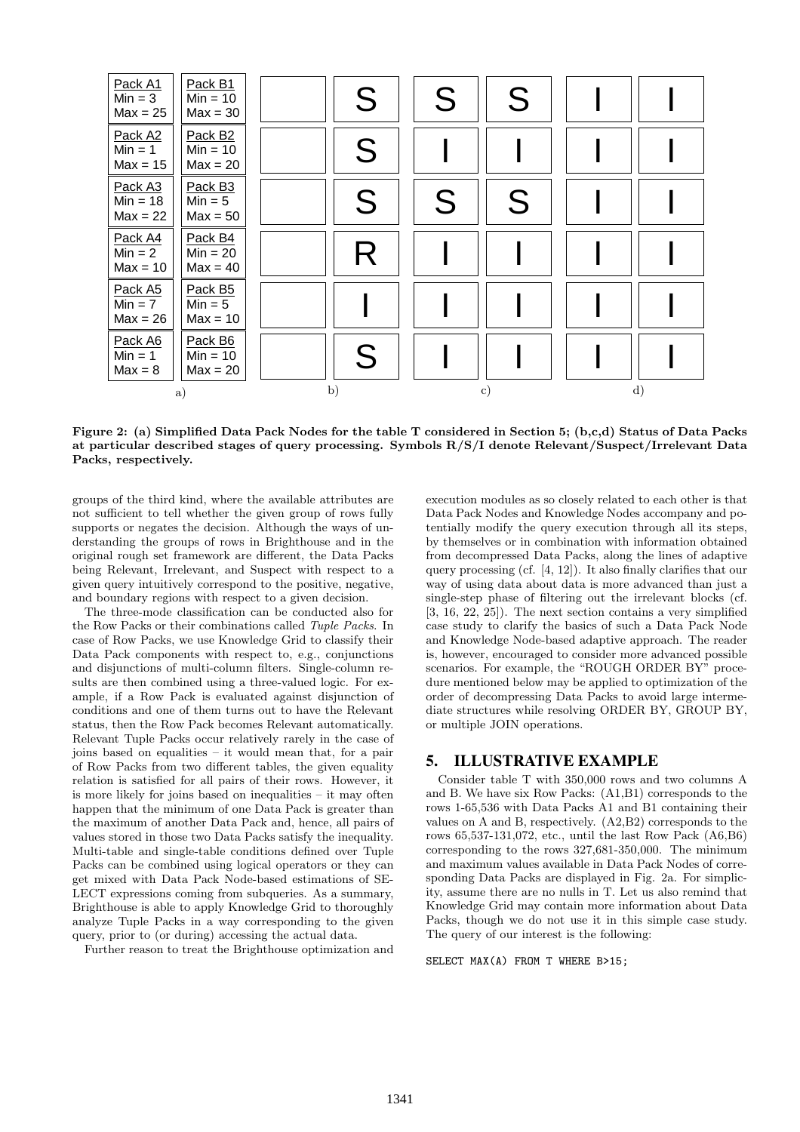

Figure 2: (a) Simplified Data Pack Nodes for the table T considered in Section 5; (b,c,d) Status of Data Packs at particular described stages of query processing. Symbols R/S/I denote Relevant/Suspect/Irrelevant Data Packs, respectively.

groups of the third kind, where the available attributes are not sufficient to tell whether the given group of rows fully supports or negates the decision. Although the ways of understanding the groups of rows in Brighthouse and in the original rough set framework are different, the Data Packs being Relevant, Irrelevant, and Suspect with respect to a given query intuitively correspond to the positive, negative, and boundary regions with respect to a given decision.

The three-mode classification can be conducted also for the Row Packs or their combinations called Tuple Packs. In case of Row Packs, we use Knowledge Grid to classify their Data Pack components with respect to, e.g., conjunctions and disjunctions of multi-column filters. Single-column results are then combined using a three-valued logic. For example, if a Row Pack is evaluated against disjunction of conditions and one of them turns out to have the Relevant status, then the Row Pack becomes Relevant automatically. Relevant Tuple Packs occur relatively rarely in the case of joins based on equalities – it would mean that, for a pair of Row Packs from two different tables, the given equality relation is satisfied for all pairs of their rows. However, it is more likely for joins based on inequalities – it may often happen that the minimum of one Data Pack is greater than the maximum of another Data Pack and, hence, all pairs of values stored in those two Data Packs satisfy the inequality. Multi-table and single-table conditions defined over Tuple Packs can be combined using logical operators or they can get mixed with Data Pack Node-based estimations of SE-LECT expressions coming from subqueries. As a summary, Brighthouse is able to apply Knowledge Grid to thoroughly analyze Tuple Packs in a way corresponding to the given query, prior to (or during) accessing the actual data.

Further reason to treat the Brighthouse optimization and

execution modules as so closely related to each other is that Data Pack Nodes and Knowledge Nodes accompany and potentially modify the query execution through all its steps, by themselves or in combination with information obtained from decompressed Data Packs, along the lines of adaptive query processing (cf. [4, 12]). It also finally clarifies that our way of using data about data is more advanced than just a single-step phase of filtering out the irrelevant blocks (cf. [3, 16, 22, 25]). The next section contains a very simplified case study to clarify the basics of such a Data Pack Node and Knowledge Node-based adaptive approach. The reader is, however, encouraged to consider more advanced possible scenarios. For example, the "ROUGH ORDER BY" procedure mentioned below may be applied to optimization of the order of decompressing Data Packs to avoid large intermediate structures while resolving ORDER BY, GROUP BY, or multiple JOIN operations.

## 5. ILLUSTRATIVE EXAMPLE

Consider table T with 350,000 rows and two columns A and B. We have six Row Packs: (A1,B1) corresponds to the rows 1-65,536 with Data Packs A1 and B1 containing their values on A and B, respectively. (A2,B2) corresponds to the rows 65,537-131,072, etc., until the last Row Pack (A6,B6) corresponding to the rows 327,681-350,000. The minimum and maximum values available in Data Pack Nodes of corresponding Data Packs are displayed in Fig. 2a. For simplicity, assume there are no nulls in T. Let us also remind that Knowledge Grid may contain more information about Data Packs, though we do not use it in this simple case study. The query of our interest is the following:

SELECT MAX(A) FROM T WHERE B>15;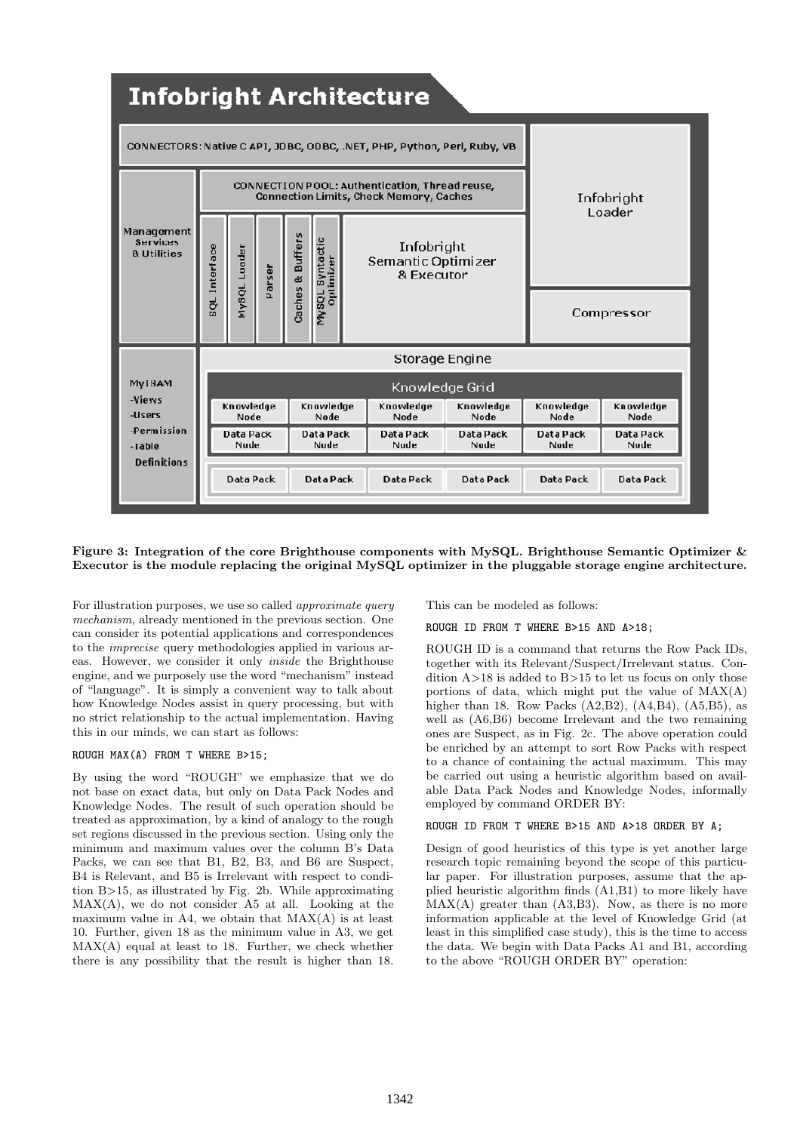

Figure 3: Integration of the core Brighthouse components with MySQL. Brighthouse Semantic Optimizer & Executor is the module replacing the original MySQL optimizer in the pluggable storage engine architecture.

For illustration purposes, we use so called approximate query mechanism, already mentioned in the previous section. One can consider its potential applications and correspondences to the imprecise query methodologies applied in various areas. However, we consider it only inside the Brighthouse engine, and we purposely use the word "mechanism" instead of "language". It is simply a convenient way to talk about how Knowledge Nodes assist in query processing, but with no strict relationship to the actual implementation. Having this in our minds, we can start as follows:

#### ROUGH MAX(A) FROM T WHERE B>15;

By using the word "ROUGH" we emphasize that we do not base on exact data, but only on Data Pack Nodes and Knowledge Nodes. The result of such operation should be treated as approximation, by a kind of analogy to the rough set regions discussed in the previous section. Using only the minimum and maximum values over the column B's Data Packs, we can see that B1, B2, B3, and B6 are Suspect, B4 is Relevant, and B5 is Irrelevant with respect to condition B>15, as illustrated by Fig. 2b. While approximating MAX(A), we do not consider A5 at all. Looking at the maximum value in  $A4$ , we obtain that  $MAX(A)$  is at least 10. Further, given 18 as the minimum value in A3, we get  $MAX(A)$  equal at least to 18. Further, we check whether there is any possibility that the result is higher than 18. This can be modeled as follows:

ROUGH ID FROM T WHERE B>15 AND A>18;

ROUGH ID is a command that returns the Row Pack IDs, together with its Relevant/Suspect/Irrelevant status. Condition A>18 is added to B>15 to let us focus on only those portions of data, which might put the value of MAX(A) higher than 18. Row Packs (A2,B2), (A4,B4), (A5,B5), as well as (A6,B6) become Irrelevant and the two remaining ones are Suspect, as in Fig. 2c. The above operation could be enriched by an attempt to sort Row Packs with respect to a chance of containing the actual maximum. This may be carried out using a heuristic algorithm based on available Data Pack Nodes and Knowledge Nodes, informally employed by command ORDER BY:

ROUGH ID FROM T WHERE B>15 AND A>18 ORDER BY A;

Design of good heuristics of this type is yet another large research topic remaining beyond the scope of this particular paper. For illustration purposes, assume that the applied heuristic algorithm finds (A1,B1) to more likely have  $MAX(A)$  greater than  $(A3,B3)$ . Now, as there is no more information applicable at the level of Knowledge Grid (at least in this simplified case study), this is the time to access the data. We begin with Data Packs A1 and B1, according to the above "ROUGH ORDER BY" operation: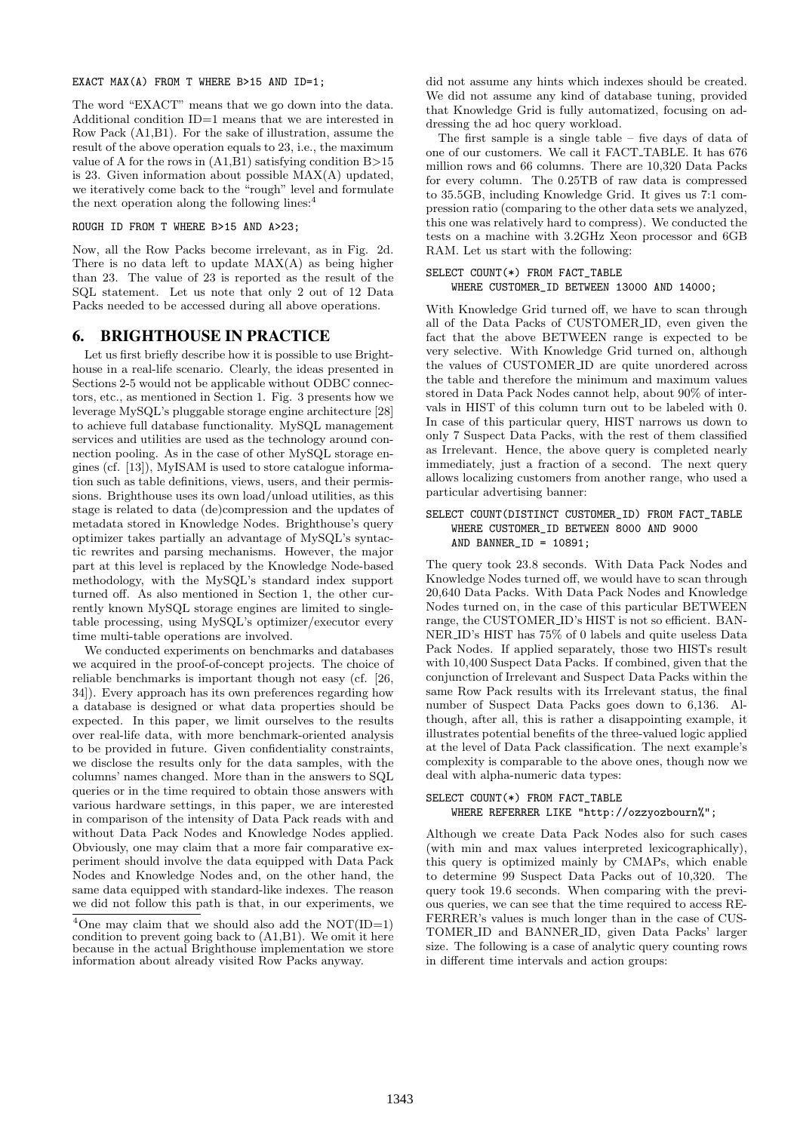#### EXACT MAX(A) FROM T WHERE B>15 AND ID=1;

The word "EXACT" means that we go down into the data. Additional condition ID=1 means that we are interested in Row Pack (A1,B1). For the sake of illustration, assume the result of the above operation equals to 23, i.e., the maximum value of A for the rows in  $(A1,B1)$  satisfying condition  $B>15$ is 23. Given information about possible MAX(A) updated, we iteratively come back to the "rough" level and formulate the next operation along the following lines: $\frac{4}{3}$ 

#### ROUGH ID FROM T WHERE B>15 AND A>23;

Now, all the Row Packs become irrelevant, as in Fig. 2d. There is no data left to update  $MAX(A)$  as being higher than 23. The value of 23 is reported as the result of the SQL statement. Let us note that only 2 out of 12 Data Packs needed to be accessed during all above operations.

## 6. BRIGHTHOUSE IN PRACTICE

Let us first briefly describe how it is possible to use Brighthouse in a real-life scenario. Clearly, the ideas presented in Sections 2-5 would not be applicable without ODBC connectors, etc., as mentioned in Section 1. Fig. 3 presents how we leverage MySQL's pluggable storage engine architecture [28] to achieve full database functionality. MySQL management services and utilities are used as the technology around connection pooling. As in the case of other MySQL storage engines (cf. [13]), MyISAM is used to store catalogue information such as table definitions, views, users, and their permissions. Brighthouse uses its own load/unload utilities, as this stage is related to data (de)compression and the updates of metadata stored in Knowledge Nodes. Brighthouse's query optimizer takes partially an advantage of MySQL's syntactic rewrites and parsing mechanisms. However, the major part at this level is replaced by the Knowledge Node-based methodology, with the MySQL's standard index support turned off. As also mentioned in Section 1, the other currently known MySQL storage engines are limited to singletable processing, using MySQL's optimizer/executor every time multi-table operations are involved.

We conducted experiments on benchmarks and databases we acquired in the proof-of-concept projects. The choice of reliable benchmarks is important though not easy (cf. [26, 34]). Every approach has its own preferences regarding how a database is designed or what data properties should be expected. In this paper, we limit ourselves to the results over real-life data, with more benchmark-oriented analysis to be provided in future. Given confidentiality constraints, we disclose the results only for the data samples, with the columns' names changed. More than in the answers to SQL queries or in the time required to obtain those answers with various hardware settings, in this paper, we are interested in comparison of the intensity of Data Pack reads with and without Data Pack Nodes and Knowledge Nodes applied. Obviously, one may claim that a more fair comparative experiment should involve the data equipped with Data Pack Nodes and Knowledge Nodes and, on the other hand, the same data equipped with standard-like indexes. The reason we did not follow this path is that, in our experiments, we

did not assume any hints which indexes should be created. We did not assume any kind of database tuning, provided that Knowledge Grid is fully automatized, focusing on addressing the ad hoc query workload.

The first sample is a single table – five days of data of one of our customers. We call it FACT TABLE. It has 676 million rows and 66 columns. There are 10,320 Data Packs for every column. The 0.25TB of raw data is compressed to 35.5GB, including Knowledge Grid. It gives us 7:1 compression ratio (comparing to the other data sets we analyzed, this one was relatively hard to compress). We conducted the tests on a machine with 3.2GHz Xeon processor and 6GB RAM. Let us start with the following:

## SELECT COUNT(\*) FROM FACT\_TABLE WHERE CUSTOMER\_ID BETWEEN 13000 AND 14000;

With Knowledge Grid turned off, we have to scan through all of the Data Packs of CUSTOMER ID, even given the fact that the above BETWEEN range is expected to be very selective. With Knowledge Grid turned on, although the values of CUSTOMER ID are quite unordered across the table and therefore the minimum and maximum values stored in Data Pack Nodes cannot help, about 90% of intervals in HIST of this column turn out to be labeled with 0. In case of this particular query, HIST narrows us down to only 7 Suspect Data Packs, with the rest of them classified as Irrelevant. Hence, the above query is completed nearly immediately, just a fraction of a second. The next query allows localizing customers from another range, who used a particular advertising banner:

#### SELECT COUNT(DISTINCT CUSTOMER\_ID) FROM FACT\_TABLE WHERE CUSTOMER\_ID BETWEEN 8000 AND 9000 AND BANNER\_ID = 10891;

The query took 23.8 seconds. With Data Pack Nodes and Knowledge Nodes turned off, we would have to scan through 20,640 Data Packs. With Data Pack Nodes and Knowledge Nodes turned on, in the case of this particular BETWEEN range, the CUSTOMER ID's HIST is not so efficient. BAN-NER ID's HIST has 75% of 0 labels and quite useless Data Pack Nodes. If applied separately, those two HISTs result with 10,400 Suspect Data Packs. If combined, given that the conjunction of Irrelevant and Suspect Data Packs within the same Row Pack results with its Irrelevant status, the final number of Suspect Data Packs goes down to 6,136. Although, after all, this is rather a disappointing example, it illustrates potential benefits of the three-valued logic applied at the level of Data Pack classification. The next example's complexity is comparable to the above ones, though now we deal with alpha-numeric data types:

#### SELECT COUNT(\*) FROM FACT\_TABLE WHERE REFERRER LIKE "http://ozzyozbourn%";

Although we create Data Pack Nodes also for such cases (with min and max values interpreted lexicographically), this query is optimized mainly by CMAPs, which enable to determine 99 Suspect Data Packs out of 10,320. The query took 19.6 seconds. When comparing with the previous queries, we can see that the time required to access RE-FERRER's values is much longer than in the case of CUS-TOMER ID and BANNER ID, given Data Packs' larger size. The following is a case of analytic query counting rows in different time intervals and action groups:

<sup>&</sup>lt;sup>4</sup>One may claim that we should also add the NOT(ID=1) condition to prevent going back to  $(A1,B1)$ . We omit it here because in the actual Brighthouse implementation we store information about already visited Row Packs anyway.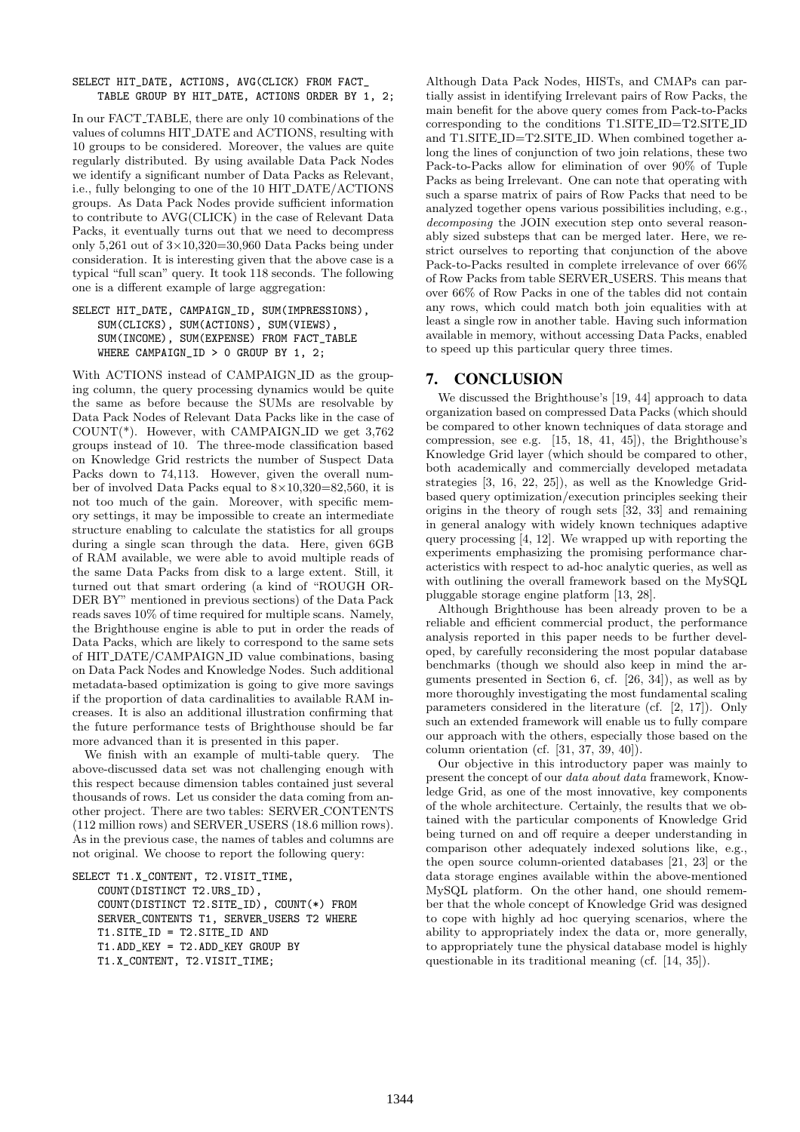#### SELECT HIT\_DATE, ACTIONS, AVG(CLICK) FROM FACT\_ TABLE GROUP BY HIT\_DATE, ACTIONS ORDER BY 1, 2;

In our FACT TABLE, there are only 10 combinations of the values of columns HIT DATE and ACTIONS, resulting with 10 groups to be considered. Moreover, the values are quite regularly distributed. By using available Data Pack Nodes we identify a significant number of Data Packs as Relevant, i.e., fully belonging to one of the 10 HIT DATE/ACTIONS groups. As Data Pack Nodes provide sufficient information to contribute to AVG(CLICK) in the case of Relevant Data Packs, it eventually turns out that we need to decompress only 5,261 out of  $3\times10.320=30.960$  Data Packs being under consideration. It is interesting given that the above case is a typical "full scan" query. It took 118 seconds. The following one is a different example of large aggregation:

SELECT HIT\_DATE, CAMPAIGN\_ID, SUM(IMPRESSIONS), SUM(CLICKS), SUM(ACTIONS), SUM(VIEWS), SUM(INCOME), SUM(EXPENSE) FROM FACT\_TABLE WHERE CAMPAIGN\_ID > 0 GROUP BY 1, 2;

With ACTIONS instead of CAMPAIGN ID as the grouping column, the query processing dynamics would be quite the same as before because the SUMs are resolvable by Data Pack Nodes of Relevant Data Packs like in the case of COUNT(\*). However, with CAMPAIGN ID we get  $3,762$ groups instead of 10. The three-mode classification based on Knowledge Grid restricts the number of Suspect Data Packs down to 74,113. However, given the overall number of involved Data Packs equal to  $8 \times 10,320=82,560$ , it is not too much of the gain. Moreover, with specific memory settings, it may be impossible to create an intermediate structure enabling to calculate the statistics for all groups during a single scan through the data. Here, given 6GB of RAM available, we were able to avoid multiple reads of the same Data Packs from disk to a large extent. Still, it turned out that smart ordering (a kind of "ROUGH OR-DER BY" mentioned in previous sections) of the Data Pack reads saves 10% of time required for multiple scans. Namely, the Brighthouse engine is able to put in order the reads of Data Packs, which are likely to correspond to the same sets of HIT DATE/CAMPAIGN ID value combinations, basing on Data Pack Nodes and Knowledge Nodes. Such additional metadata-based optimization is going to give more savings if the proportion of data cardinalities to available RAM increases. It is also an additional illustration confirming that the future performance tests of Brighthouse should be far more advanced than it is presented in this paper.

We finish with an example of multi-table query. The above-discussed data set was not challenging enough with this respect because dimension tables contained just several thousands of rows. Let us consider the data coming from another project. There are two tables: SERVER CONTENTS (112 million rows) and SERVER USERS (18.6 million rows). As in the previous case, the names of tables and columns are not original. We choose to report the following query:

SELECT T1.X\_CONTENT, T2.VISIT\_TIME, COUNT(DISTINCT T2.URS\_ID), COUNT(DISTINCT T2.SITE\_ID), COUNT(\*) FROM SERVER\_CONTENTS T1, SERVER\_USERS T2 WHERE T1.SITE\_ID = T2.SITE\_ID AND T1.ADD\_KEY = T2.ADD\_KEY GROUP BY T1.X\_CONTENT, T2.VISIT\_TIME;

Although Data Pack Nodes, HISTs, and CMAPs can partially assist in identifying Irrelevant pairs of Row Packs, the main benefit for the above query comes from Pack-to-Packs corresponding to the conditions T1.SITE ID=T2.SITE ID and T1.SITE ID=T2.SITE ID. When combined together along the lines of conjunction of two join relations, these two Pack-to-Packs allow for elimination of over 90% of Tuple Packs as being Irrelevant. One can note that operating with such a sparse matrix of pairs of Row Packs that need to be analyzed together opens various possibilities including, e.g., decomposing the JOIN execution step onto several reasonably sized substeps that can be merged later. Here, we restrict ourselves to reporting that conjunction of the above Pack-to-Packs resulted in complete irrelevance of over 66% of Row Packs from table SERVER USERS. This means that over 66% of Row Packs in one of the tables did not contain any rows, which could match both join equalities with at least a single row in another table. Having such information available in memory, without accessing Data Packs, enabled to speed up this particular query three times.

# 7. CONCLUSION

We discussed the Brighthouse's [19, 44] approach to data organization based on compressed Data Packs (which should be compared to other known techniques of data storage and compression, see e.g. [15, 18, 41, 45]), the Brighthouse's Knowledge Grid layer (which should be compared to other, both academically and commercially developed metadata strategies [3, 16, 22, 25]), as well as the Knowledge Gridbased query optimization/execution principles seeking their origins in the theory of rough sets [32, 33] and remaining in general analogy with widely known techniques adaptive query processing [4, 12]. We wrapped up with reporting the experiments emphasizing the promising performance characteristics with respect to ad-hoc analytic queries, as well as with outlining the overall framework based on the MySQL pluggable storage engine platform [13, 28].

Although Brighthouse has been already proven to be a reliable and efficient commercial product, the performance analysis reported in this paper needs to be further developed, by carefully reconsidering the most popular database benchmarks (though we should also keep in mind the arguments presented in Section 6, cf. [26, 34]), as well as by more thoroughly investigating the most fundamental scaling parameters considered in the literature (cf. [2, 17]). Only such an extended framework will enable us to fully compare our approach with the others, especially those based on the column orientation (cf. [31, 37, 39, 40]).

Our objective in this introductory paper was mainly to present the concept of our data about data framework, Knowledge Grid, as one of the most innovative, key components of the whole architecture. Certainly, the results that we obtained with the particular components of Knowledge Grid being turned on and off require a deeper understanding in comparison other adequately indexed solutions like, e.g., the open source column-oriented databases [21, 23] or the data storage engines available within the above-mentioned MySQL platform. On the other hand, one should remember that the whole concept of Knowledge Grid was designed to cope with highly ad hoc querying scenarios, where the ability to appropriately index the data or, more generally, to appropriately tune the physical database model is highly questionable in its traditional meaning (cf. [14, 35]).